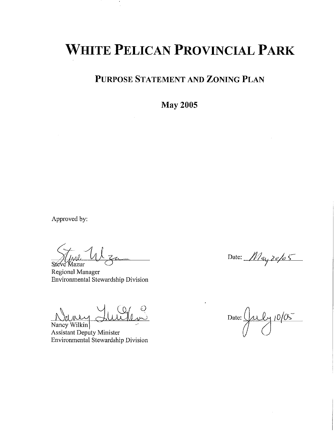# **WHITE PELICAN PROVINCIAL PARK**

PURPOSE STATEMENT AND ZONING PLAN

**May 2005** 

Approved by:

Steve Mazur

Regional Manager Environmental Stewardship Division

Nancy Wilkin **Assistant Deputy Minister** Environmental Stewardship Division

Date:  $M$ ay 20/05

 $\frac{21}{1005}$ Date:  $\frac{1}{2}$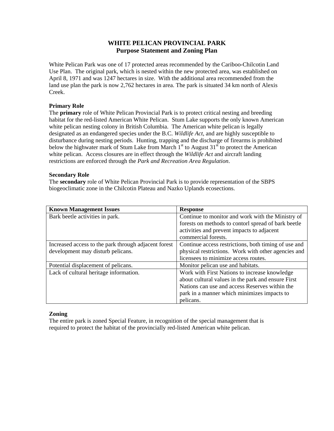## **WHITE PELICAN PROVINCIAL PARK Purpose Statement and Zoning Plan**

White Pelican Park was one of 17 protected areas recommended by the Cariboo-Chilcotin Land Use Plan. The original park, which is nested within the new protected area, was established on April 8, 1971 and was 1247 hectares in size. With the additional area recommended from the land use plan the park is now 2,762 hectares in area. The park is situated 34 km north of Alexis Creek.

### **Primary Role**

The **primary** role of White Pelican Provincial Park is to protect critical nesting and breeding habitat for the red-listed American White Pelican. Stum Lake supports the only known American white pelican nesting colony in British Columbia. The American white pelican is legally designated as an endangered species under the B.C. *Wildlife Act*, and are highly susceptible to disturbance during nesting periods. Hunting, trapping and the discharge of firearms is prohibited below the highwater mark of Stum Lake from March  $1<sup>st</sup>$  to August  $31<sup>st</sup>$  to protect the American white pelican. Access closures are in effect through the *Wildlife Act* and aircraft landing restrictions are enforced through the *Park and Recreation Area Regulation*.

#### **Secondary Role**

The **secondary** role of White Pelican Provincial Park is to provide representation of the SBPS biogeoclimatic zone in the Chilcotin Plateau and Nazko Uplands ecosections.

| <b>Known Management Issues</b>                       | <b>Response</b>                                      |
|------------------------------------------------------|------------------------------------------------------|
| Bark beetle activities in park.                      | Continue to monitor and work with the Ministry of    |
|                                                      | forests on methods to contorl spread of bark beetle  |
|                                                      | activities and prevent impacts to adjacent           |
|                                                      | commercial forests.                                  |
| Increased access to the park through adjacent forest | Continue access restrictions, both timing of use and |
| development may disturb pelicans.                    | physical restrictions. Work with other agencies and  |
|                                                      | licensees to minimize access routes.                 |
| Potential displacement of pelicans.                  | Monitor pelican use and habitats.                    |
| Lack of cultural heritage information.               | Work with First Nations to increase knowledge        |
|                                                      | about cultural values in the park and ensure First   |
|                                                      | Nations can use and access Reserves within the       |
|                                                      | park in a manner which minimizes impacts to          |
|                                                      | pelicans.                                            |

#### **Zoning**

The entire park is zoned Special Feature, in recognition of the special management that is required to protect the habitat of the provincially red-listed American white pelican.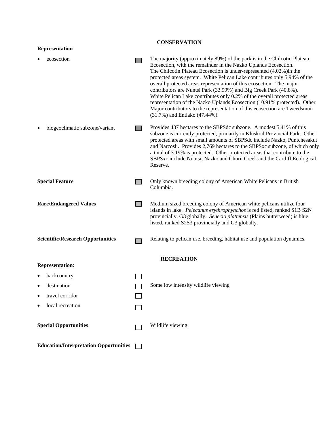| <b>CONSERVATION</b>                           |  |                                                                                                                                                                                                                                                                                                                                                                                                                                                                                                                                                                                                                                                                                                                    |  |
|-----------------------------------------------|--|--------------------------------------------------------------------------------------------------------------------------------------------------------------------------------------------------------------------------------------------------------------------------------------------------------------------------------------------------------------------------------------------------------------------------------------------------------------------------------------------------------------------------------------------------------------------------------------------------------------------------------------------------------------------------------------------------------------------|--|
| Representation                                |  |                                                                                                                                                                                                                                                                                                                                                                                                                                                                                                                                                                                                                                                                                                                    |  |
| ecosection                                    |  | The majority (approximately 89%) of the park is in the Chilcotin Plateau<br>Ecosection, with the remainder in the Nazko Uplands Ecosection.<br>The Chilcotin Plateau Ecosection is under-represented (4.02%) in the<br>protected areas system. White Pelican Lake contributes only 5.94% of the<br>overall protected areas representation of this ecosection. The major<br>contributors are Nuntsi Park (33.99%) and Big Creek Park (40.8%).<br>White Pelican Lake contributes only 0.2% of the overall protected areas<br>representation of the Nazko Uplands Ecosection (10.91% protected). Other<br>Major contributors to the representation of this ecosection are Tweedsmuir<br>(31.7%) and Entiako (47.44%). |  |
| biogeoclimatic subzone/variant                |  | Provides 437 hectares to the SBPSdc subzone. A modest 5.41% of this<br>subzone is currently protected, primarily in Kluskoil Provincial Park. Other<br>protected areas with small amounts of SBPSdc include Nazko, Puntchesakut<br>and Narcosli. Provides 2,769 hectares to the SBPSxc subzone, of which only<br>a total of 3.19% is protected. Other protected areas that contribute to the<br>SBPSxc include Nuntsi, Nazko and Churn Creek and the Cardiff Ecological<br>Reserve.                                                                                                                                                                                                                                |  |
| <b>Special Feature</b>                        |  | Only known breeding colony of American White Pelicans in British<br>Columbia.                                                                                                                                                                                                                                                                                                                                                                                                                                                                                                                                                                                                                                      |  |
| <b>Rare/Endangered Values</b>                 |  | Medium sized breeding colony of American white pelicans utilize four<br>islands in lake. Pelecanus erythrophynchos is red listed, ranked S1B S2N<br>provincially, G3 globally. Senecio plattensis (Plains butterweed) is blue<br>listed, ranked S2S3 provincially and G3 globally.                                                                                                                                                                                                                                                                                                                                                                                                                                 |  |
| <b>Scientific/Research Opportunities</b>      |  | Relating to pelican use, breeding, habitat use and population dynamics.                                                                                                                                                                                                                                                                                                                                                                                                                                                                                                                                                                                                                                            |  |
| <b>RECREATION</b>                             |  |                                                                                                                                                                                                                                                                                                                                                                                                                                                                                                                                                                                                                                                                                                                    |  |
| <b>Representation:</b>                        |  |                                                                                                                                                                                                                                                                                                                                                                                                                                                                                                                                                                                                                                                                                                                    |  |
| backcountry                                   |  |                                                                                                                                                                                                                                                                                                                                                                                                                                                                                                                                                                                                                                                                                                                    |  |
| destination<br>٠                              |  | Some low intensity wildlife viewing                                                                                                                                                                                                                                                                                                                                                                                                                                                                                                                                                                                                                                                                                |  |
| travel corridor                               |  |                                                                                                                                                                                                                                                                                                                                                                                                                                                                                                                                                                                                                                                                                                                    |  |
| local recreation                              |  |                                                                                                                                                                                                                                                                                                                                                                                                                                                                                                                                                                                                                                                                                                                    |  |
| <b>Special Opportunities</b>                  |  | Wildlife viewing                                                                                                                                                                                                                                                                                                                                                                                                                                                                                                                                                                                                                                                                                                   |  |
| <b>Education/Interpretation Opportunities</b> |  |                                                                                                                                                                                                                                                                                                                                                                                                                                                                                                                                                                                                                                                                                                                    |  |